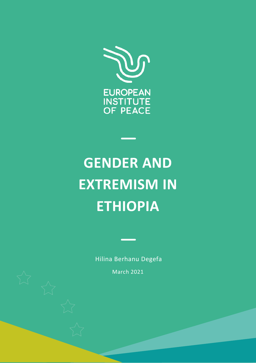

# Vivamus dapibus hendrerit lectus a semper. Mauris ut neque bibendum, egestas diam et, pretium orci. **Phasellus a libero placerat, accumsant duis tempus felix arcu, at tincidum and**  $\mathbf{GENDER}\mathbf{AND}$  **are times for the times felix arcu, at tincidum and**  $\mathbf{GENDER}\mathbf{AND}$ dignissim sit amet leo. Quisque non tortor urna. Vivamus tortor orci, malesuada vel malesuada vel malesuada ve<br>EXTREMISM IN <sub>200</sub> Pellentesque habitant morbi tristique senectus et netus et malesuada fames ac turpis egestas. Sed nec lorem id dolor posuere congue. Nam sapien sapien, ullamcorper pretium blandit sed, lobortis a risus. Morbi ut sapien **ETHIOPIA**

ante ipsum primis in faucibus. Aenean id posuere eros, eu auctor ligula. Suspendisse massa lacus, scelerisque

Pellentesque pharetra quis dui eget accumsan. Donec in consequat arcu, non scelerisque felis. Nam sed libero Hilina Berhanu Degefa lorem. Donec vitae suscipit leo. Mauris ac felis tempor, rutrum tellus sed, rhoncus lorem. Ut a scelerisque ante.

Cras justo augue, egestas eu mollis et, mollis id enim. Sed tincidunt turpis quis tortor imperdiet, sed viverra ex March 2021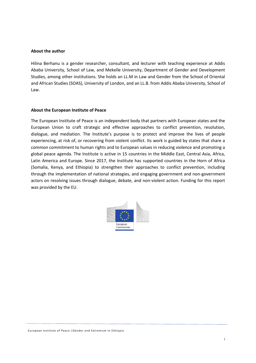### **About the author**

Hilina Berhanu is a gender researcher, consultant, and lecturer with teaching experience at Addis Ababa University, School of Law, and Mekelle University, Department of Gender and Development Studies, among other institutions. She holds an LL.M in Law and Gender from the School of Oriental and African Studies (SOAS), University of London, and an LL.B. from Addis Ababa University, School of Law.

### **About the European Institute of Peace**

The [European Institute of Peace](http://www.eip.org/) is an independent body that partners with European states and the European Union to craft strategic and effective approaches to conflict prevention, resolution, dialogue, and mediation. The Institute's purpose is to protect and improve the lives of people experiencing, at risk of, or recovering from violent conflict. Its work is guided by states that share a common commitment to human rights and to European values in reducing violence and promoting a global peace agenda. The Institute is active in 15 countries in the Middle East, Central Asia, Africa, Latin America and Europe. Since 2017, the Institute has supported countries in the Horn of Africa (Somalia, Kenya, and Ethiopia) to strengthen their approaches to conflict prevention, including through the implementation of national strategies, and engaging government and non-government actors on resolving issues through dialogue, debate, and non-violent action. Funding for this report was provided by the EU.

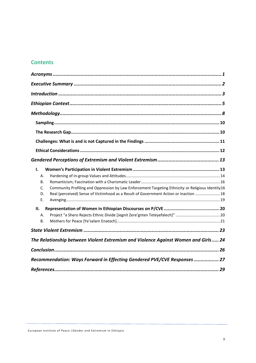# **Contents**

| I.                                                                                                      |  |
|---------------------------------------------------------------------------------------------------------|--|
| А.                                                                                                      |  |
| В.                                                                                                      |  |
| Community Profiling and Oppression by Law Enforcement Targeting Ethnicity or Religious Identity16<br>C. |  |
| Real (perceived) Sense of Victimhood as a Result of Government Action or Inaction  18<br>D.             |  |
| E.                                                                                                      |  |
| н.                                                                                                      |  |
| Α.                                                                                                      |  |
| <b>B.</b>                                                                                               |  |
|                                                                                                         |  |
| The Relationship between Violent Extremism and Violence Against Women and Girls 24                      |  |
|                                                                                                         |  |
| Recommendation: Ways Forward in Effecting Gendered PVE/CVE Responses 27                                 |  |
|                                                                                                         |  |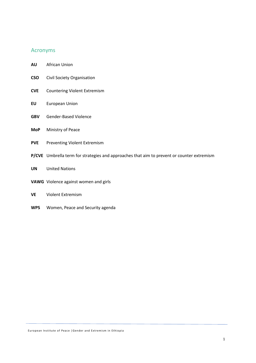# <span id="page-3-0"></span>Acronyms

- **AU** African Union
- **CSO** Civil Society Organisation
- **CVE** Countering Violent Extremism
- **EU** European Union
- **GBV** Gender-Based Violence
- **MoP** Ministry of Peace
- **PVE** Preventing Violent Extremism
- **P/CVE** Umbrella term for strategies and approaches that aim to prevent or counter extremism
- **UN** United Nations
- **VAWG** Violence against women and girls
- **VE** Violent Extremism
- **WPS** Women, Peace and Security agenda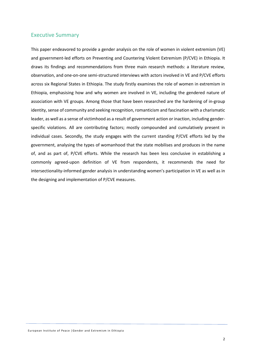### <span id="page-4-0"></span>Executive Summary

This paper endeavored to provide a gender analysis on the role of women in violent extremism (VE) and government-led efforts on Preventing and Countering Violent Extremism (P/CVE) in Ethiopia. It draws its findings and recommendations from three main research methods: a literature review, observation, and one-on-one semi-structured interviews with actors involved in VE and P/CVE efforts across six Regional States in Ethiopia. The study firstly examines the role of women in extremism in Ethiopia, emphasising how and why women are involved in VE, including the gendered nature of association with VE groups. Among those that have been researched are the hardening of in-group identity, sense of community and seeking recognition, romanticism and fascination with a charismatic leader, as well as a sense of victimhood as a result of government action or inaction, including genderspecific violations. All are contributing factors; mostly compounded and cumulatively present in individual cases. Secondly, the study engages with the current standing P/CVE efforts led by the government, analysing the types of womanhood that the state mobilises and produces in the name of, and as part of, P/CVE efforts. While the research has been less conclusive in establishing a commonly agreed-upon definition of VE from respondents, it recommends the need for intersectionality-informed gender analysis in understanding women's participation in VE as well as in the designing and implementation of P/CVE measures.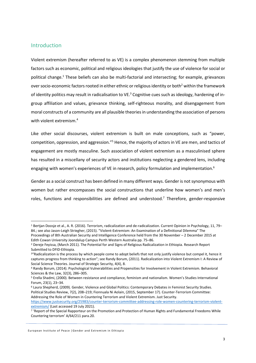# <span id="page-5-0"></span>Introduction

Violent extremism (hereafter referred to as VE) is a complex phenomenon stemming from multiple factors such as economic, political and religious ideologies that justify the use of violence for social or political change.<sup>1</sup> These beliefs can also be multi-factorial and intersecting; for example, grievances over socio-economic factors rooted in either ethnic or religious identity or both<sup>2</sup> within the framework of identity politics may result in radicalisation to VE.<sup>3</sup> Cognitive cues such as ideology, hardening of ingroup affiliation and values, grievance thinking, self-righteous morality, and disengagement from moral constructs of a community are all plausible theories in understanding the association of persons with violent extremism.<sup>4</sup>

Like other social discourses, violent extremism is built on male conceptions, such as "power, competition, oppression, and aggression."<sup>5</sup> Hence, the majority of actors in VE are men, and tactics of engagement are mostly masculine. Such association of violent extremism as a masculinised sphere has resulted in a miscellany of security actors and institutions neglecting a gendered lens, including engaging with women's experiences of VE in research, policy formulation and implementation. $^6$ 

Gender as a social construct has been defined in many different ways. Gender is not synonymous with women but rather encompasses the social constructions that underline how women's and men's roles, functions and responsibilities are defined and understood.<sup>7</sup> Therefore, gender-responsive

<sup>1</sup> Bertjan Doosje et al., A. R. (2016). Terrorism, radicalization and de-radicalization. Current Opinion in Psychology, 11, 79– 84.; see also Jason-Leigh Striegher, (2015). "Violent-Extremism: An Examination of a Definitional Dilemma" The Proceedings of 8th Australian Security and Intelligence Conference held from the 30 November – 2 December 2015 at Edith Cowan University Joondalup Campus Perth Western Australia pp. 75–86.

<sup>2</sup> Dereje Feyissa, (March 2011). The Potential for and Signs of Religious Radicalization in Ethiopia*.* Research Report Submitted to DFID-Ethiopia.

<sup>&</sup>lt;sup>3</sup>"Radicalization is the process by which people come to adopt beliefs that not only justify violence but compel it, hence it captures progress from thinking to action"; see Randy Borum, (2011). Radicalization into Violent Extremism I: A Review of Social Science Theories. Journal of Strategic Security, 4(4), 8.

<sup>4</sup> Randy Borum, (2014). Psychological Vulnerabilities and Propensities for Involvement in Violent Extremism. Behavioral Sciences & the Law, 32(3), 286–305.

<sup>5</sup> Erella Shadmi, (2000). Between resistance and compliance, feminism and nationalism. Women's Studies International Forum, 23(1), 23–34.

<sup>6</sup> Laura Shepherd, (2009). Gender, Violence and Global Politics: Contemporary Debates in Feminist Security Studies. Political Studies Review, 7(2), 208–219; Fionnuala Ni Aolain, (2015, September 17). Counter-Terrorism Committee: Addressing the Role of Women in Countering Terrorism and Violent Extremism. Just Security.

[https://www.justsecurity.org/25983/counter-terrorism-committee-addressing-role-women-countering-terrorism-violent](https://www.justsecurity.org/25983/counter-terrorism-committee-addressing-role-women-countering-terrorism-violent-extremism/)[extremism/](https://www.justsecurity.org/25983/counter-terrorism-committee-addressing-role-women-countering-terrorism-violent-extremism/) (Last accessed 19 July 2021).

<sup>7</sup> 'Report of the Special Rapporteur on the Promotion and Protection of Human Rights and Fundamental Freedoms While Countering terrorism' A/64/211 para.20.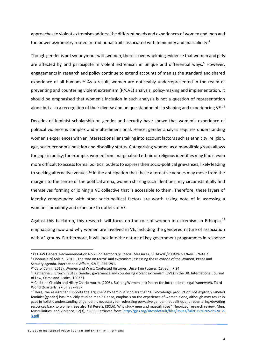approaches to violent extremism address the different needs and experiences of women and men and the power asymmetry rooted in traditional traits associated with femininity and masculinity.<sup>8</sup>

Though gender is not synonymous with women, there is overwhelming evidence that women and girls are affected by and participate in violent extremism in unique and differential ways. $9$  However, engagements in research and policy continue to extend accounts of men as the standard and shared experience of all humans.<sup>10</sup> As a result, women are noticeably underrepresented in the realm of preventing and countering violent extremism (P/CVE) analysis, policy-making and implementation. It should be emphasised that women's inclusion in such analysis is not a question of representation alone but also a recognition of their diverse and unique standpoints in shaping and experiencing  $VE^{11}$ 

Decades of feminist scholarship on gender and security have shown that women's experience of political violence is complex and multi-dimensional. Hence, gender analysis requires understanding women's experiences with an intersectional lens taking into account factors such as ethnicity, religion, age, socio-economic position and disability status. Categorising women as a monolithic group allows for gaps in policy; for example, women from marginalised ethnic or religious identities may find it even more difficult to access formal political outlets to express their socio-political grievances, likely leading to seeking alternative venues.<sup>12</sup> In the anticipation that these alternative venues may move from the margins to the centre of the political arena, women sharing such identities may circumstantially find themselves forming or joining a VE collective that is accessible to them. Therefore, these layers of identity compounded with other socio-political factors are worth taking note of in assessing a woman's proximity and exposure to outlets of VE.

Against this backdrop, this research will focus on the role of women in extremism in Ethiopia,<sup>13</sup> emphasising how and why women are involved in VE, including the gendered nature of association with VE groups. Furthermore, it will look into the nature of key government programmes in response

<sup>8</sup> CEDAW General Recommendation No.25 on Temporary Special Measures, CEDAW/C/2004/Wp.1/Rev 1. Note 2.

<sup>9</sup> Fionnuala Ní Aoláin, (2016). The 'war on terror' and extremism: assessing the relevance of the Women, Peace and Security agenda. International Affairs, 92(2), 275–291.

<sup>&</sup>lt;sup>10</sup> Carol Cohn, (2012). Women and Wars: Contested Histories, Uncertain Futures (1st ed.), P.24

<sup>11</sup> Katherine E. Brown, (2019). Gender, governance and countering violent extremism (CVE) in the UK. International Journal of Law, Crime and Justice, 100371.

<sup>&</sup>lt;sup>12</sup> Christine Chinkin and Hilary Charlesworth, (2006). Building Women into Peace: the international legal framework. Third World Quarterly, 27(5), 937–957.

<sup>&</sup>lt;sup>13</sup> Here, the researcher supports the argument by feminist scholars that "all knowledge production not explicitly labeled feminist (gender) has implicitly studied men." Hence, emphasis on the experience of women alone, although may result in gaps in holistic understanding of gender, is necessary for redressing pervasive gender inequalities and recentering/devoting resources back to women. See also Tal Peretz, (2016). Why study men and masculinities? Theorized research review. Men, Masculinities, and Violence, 12(3), 32-33. Retrieved from: [http://gjss.org/sites/default/files/issues/full/GJSS%20Vol%2012-](http://gjss.org/sites/default/files/issues/full/GJSS%20Vol%2012-3.pdf) [3.pdf](http://gjss.org/sites/default/files/issues/full/GJSS%20Vol%2012-3.pdf)

European Institute of Peace |Gender and Extremism in Ethiopia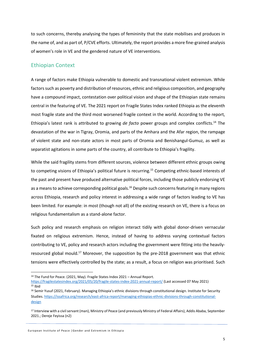to such concerns, thereby analysing the types of femininity that the state mobilises and produces in the name of, and as part of, P/CVE efforts. Ultimately, the report provides a more fine-grained analysis of women's role in VE and the gendered nature of VE interventions.

# <span id="page-7-0"></span>Ethiopian Context

A range of factors make Ethiopia vulnerable to domestic and transnational violent extremism. While factors such as poverty and distribution of resources, ethnic and religious composition, and geography have a compound impact, contestation over political vision and shape of the Ethiopian state remains central in the featuring of VE. The 2021 report on Fragile States Index ranked Ethiopia as the eleventh most fragile state and the third most worsened fragile context in the world. According to the report, Ethiopia's latest rank is attributed to growing *de facto* power groups and complex conflicts.<sup>14</sup> The devastation of the war in Tigray, Oromia, and parts of the Amhara and the Afar region, the rampage of violent state and non-state actors in most parts of Oromia and Benishangul-Gumuz, as well as separatist agitations in some parts of the country, all contribute to Ethiopia's fragility.

While the said fragility stems from different sources, violence between different ethnic groups owing to competing visions of Ethiopia's political future is recurring.<sup>15</sup> Competing ethnic-based interests of the past and present have produced alternative political forces, including those publicly endorsing VE as a means to achieve corresponding political goals.<sup>16</sup> Despite such concerns featuring in many regions across Ethiopia, research and policy interest in addressing a wide range of factors leading to VE has been limited. For example: in most (though not all) of the existing research on VE, there is a focus on religious fundamentalism as a stand-alone factor.

Such policy and research emphasis on religion interact tidily with global donor-driven vernacular fixated on religious extremism. Hence, instead of having to address varying contextual factors contributing to VE, policy and research actors including the government were fitting into the heavilyresourced global mould.<sup>17</sup> Moreover, the supposition by the pre-2018 government was that ethnic tensions were effectively controlled by the state; as a result, a focus on religion was prioritised. Such

<sup>&</sup>lt;sup>14</sup> The Fund for Peace. (2021, May). Fragile States Index 2021 – Annual Report.

<https://fragilestatesindex.org/2021/05/20/fragile-states-index-2021-annual-report/> (Last accessed 07 May 2021) <sup>15</sup> Ibid

<sup>&</sup>lt;sup>16</sup> Semir Yusuf (2021, February). Managing Ethiopia's ethnic divisions through constitutional design. Institute for Security Studies. [https://issafrica.org/research/east-africa-report/managing-ethiopias-ethnic-divisions-through-constitutional](https://issafrica.org/research/east-africa-report/managing-ethiopias-ethnic-divisions-through-constitutional-design)[design](https://issafrica.org/research/east-africa-report/managing-ethiopias-ethnic-divisions-through-constitutional-design)

<sup>&</sup>lt;sup>17</sup> Interview with a civil servant (man), Ministry of Peace (and previously Ministry of Federal Affairs), Addis Ababa, September 2021.; Dereje Feyissa (n2)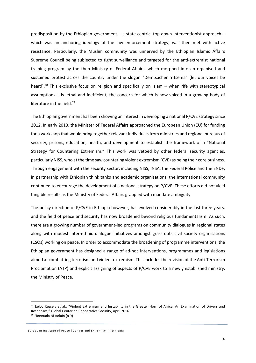predisposition by the Ethiopian government – a state-centric, top-down interventionist approach – which was an anchoring ideology of the law enforcement strategy, was then met with active resistance. Particularly, the Muslim community was unnerved by the Ethiopian Islamic Affairs Supreme Council being subjected to tight surveillance and targeted for the anti-extremist national training program by the then Ministry of Federal Affairs, which morphed into an organised and sustained protest across the country under the slogan "Demtsachen Yitsema" [let our voices be heard]. <sup>18</sup> This exclusive focus on religion and specifically on Islam – when rife with stereotypical assumptions – is lethal and inefficient; the concern for which is now voiced in a growing body of literature in the field. $^{19}$ 

The Ethiopian government has been showing an interest in developing a national P/CVE strategy since 2012. In early 2013, the Minister of Federal Affairs approached the European Union (EU) for funding for a workshop that would bring together relevant individuals from ministries and regional bureaus of security, prisons, education, health, and development to establish the framework of a "National Strategy for Countering Extremism." This work was vetoed by other federal security agencies, particularly NISS, who at the time saw countering violent extremism (CVE) as being their core business. Through engagement with the security sector, including NISS, INSA, the Federal Police and the ENDF, in partnership with Ethiopian think tanks and academic organisations, the international community continued to encourage the development of a national strategy on P/CVE. These efforts did not yield tangible results as the Ministry of Federal Affairs grappled with mandate ambiguity.

The policy direction of P/CVE in Ethiopia however, has evolved considerably in the last three years, and the field of peace and security has now broadened beyond religious fundamentalism. As such, there are a growing number of government-led programs on community dialogues in regional states along with modest inter-ethnic dialogue initiatives amongst grassroots civil society organisations (CSOs) working on peace. In order to accommodate the broadening of programme interventions, the Ethiopian government has designed a range of ad-hoc interventions, programmes and legislations aimed at combatting terrorism and violent extremism. This includes the revision of the Anti-Terrorism Proclamation (ATP) and explicit assigning of aspects of P/CVE work to a newly established ministry, the Ministry of Peace.

<sup>18</sup> Eelco Kessels et al., "Violent Extremism and Instability in the Greater Horn of Africa: An Examination of Drivers and Responses," Global Center on Cooperative Security, April 2016 <sup>19</sup> Fionnuala Ni Aolain (n 9)

European Institute of Peace |Gender and Extremism in Ethiopia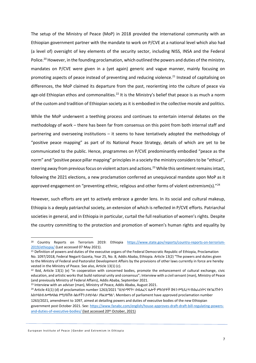The setup of the Ministry of Peace (MoP) in 2018 provided the international community with an Ethiopian government partner with the mandate to work on P/CVE at a national level which also had (a level of) oversight of key elements of the security sector, including NISS, INSA and the Federal Police.<sup>20</sup> However, in the founding proclamation, which outlined the powers and duties of the ministry, mandates on P/CVE were given in a (yet again) generic and vague manner, mainly focusing on promoting aspects of peace instead of preventing and reducing violence.<sup>21</sup> Instead of capitalising on differences, the MoP claimed its departure from the past, reorienting into the culture of peace via age-old Ethiopian ethos and commonalities.<sup>22</sup> It is the Ministry's belief that peace is as much a norm of the custom and tradition of Ethiopian society as it is embodied in the collective morale and politics.

While the MoP underwent a teething process and continues to entertain internal debates on the methodology of work – there has been far from consensus on this point from both internal staff and partnering and overseeing institutions – it seems to have tentatively adopted the methodology of "positive peace mapping" as part of its National Peace Strategy, details of which are yet to be communicated to the public. Hence, programmes on P/CVE predominantly embodied "peace as the norm" and "positive peace pillar mapping" principles in a society the ministry considers to be "ethical", steering away from previous focus on violent actors and actions.<sup>23</sup> While this sentiment remains intact, following the 2021 elections, a new proclamation conferred an unequivocal mandate upon MoP as it approved engagement on "preventing ethnic, religious and other forms of violent extremism(s)."<sup>24</sup>

However, such efforts are yet to actively embrace a gender lens. In its social and cultural makeup, Ethiopia is a deeply patriarchal society, an extension of which is reflected in P/CVE efforts. Patriarchal societies in general, and in Ethiopia in particular, curtail the full realisation of women's rights. Despite the country committing to the protection and promotion of women's human rights and equality by

<sup>24</sup> Article 41(1) (d) of proclamation number 1263/2021 "በኃይማኖት፣ በብሔርና ሌሎች ምክንያቶች ሽፋን የሚደረግ የአክራሪነትና የጽንፈኛነትን አስተሳሰብ ለመከላከል የሚያስችሉ ስልቶችን ይቀይሳል፣ ያስፈጽማል"; Members of parliament have approved proclamation number 1263/2021, amendment to 1097, aimed at detailing powers and duties of executive bodies of the new Ethiopian government post October 2021. See: [https://www.fanabc.com/english/house-approves-draft-draft-bill-regulating-powers](https://www.fanabc.com/english/house-approves-draft-draft-bill-regulating-powers-and-duties-of-executive-bodies/)[and-duties-of-executive-bodies/](https://www.fanabc.com/english/house-approves-draft-draft-bill-regulating-powers-and-duties-of-executive-bodies/) (last accessed 20th October, 2021)

<sup>&</sup>lt;sup>20</sup> Country Reports on Terrorism 2019: Ethiopia [https://www.state.gov/reports/country-reports-on-terrorism-](https://www.state.gov/reports/country-reports-on-terrorism-2019/ethiopia/)[2019/ethiopia/](https://www.state.gov/reports/country-reports-on-terrorism-2019/ethiopia/) (Last accessed 07 May 2021).

<sup>&</sup>lt;sup>21</sup> Definition of powers and duties of the executive organs of the Federal Democratic Republic of Ethiopia, Proclamation No. 1097/2018, Federal Negarit Gazeta, Year 25, No. 8, Addis Ababa, Ethiopia. Article 13(2) "The powers and duties given to the Ministry of Federal and Pastoralist Development Affairs by the provisions of other laws currently in force are hereby vested in the Ministry of Peace. See also, Article 13(1) (c).

<sup>&</sup>lt;sup>22</sup> Ibid, Article 13(1) (e) "in cooperation with concerned bodies, promote the enhancement of cultural exchange, civic education, and artistic works that build national unity and consensus"; Interview with a civil servant (man), Ministry of Peace (and previously Ministry of Federal Affairs), Addis Ababa, September 2021.

<sup>&</sup>lt;sup>23</sup> Interview with an adviser (man), Ministry of Peace, Addis Ababa, August 2021.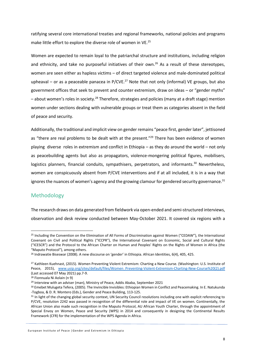ratifying several core international treaties and regional frameworks, national policies and programs make little effort to explore the diverse role of women in VE.<sup>25</sup>

Women are expected to remain loyal to the patriarchal structure and institutions, including religion and ethnicity, and take no purposeful initiatives of their own.<sup>26</sup> As a result of these stereotypes, women are seen either as hapless victims – of direct targeted violence and male-dominated political upheaval – or as a peaceable panacea in P/CVE.<sup>27</sup> Note that not only (informal) VE groups, but also government offices that seek to prevent and counter extremism, draw on ideas – or "gender myths" – about women's roles in society.<sup>28</sup> Therefore, strategies and policies (many at a draft stage) mention women under sections dealing with vulnerable groups or treat them as categories absent in the field of peace and security.

Additionally, the traditional and implicit view on gender remains "peace first, gender later", jettisoned as "there are real problems to be dealt with at the present."<sup>29</sup> There has been evidence of women playing diverse roles in extremism and conflict in Ethiopia – as they do around the world – not only as peacebuilding agents but also as propagators, violence-mongering political figures, mobilisers, logistics planners, financial conduits, sympathisers, perpetrators, and informants.<sup>30</sup> Nevertheless, women are conspicuously absent from P/CVE interventions and if at all included, it is in a way that ignores the nuances of women's agency and the growing clamour for gendered security governance. $31$ 

# <span id="page-10-0"></span>Methodology

The research draws on data generated from fieldwork via open-ended and semi-structured interviews, observation and desk review conducted between May-October 2021. It covered six regions with a

<sup>&</sup>lt;sup>25</sup> Including the Convention on the Elimination of All Forms of Discrimination against Women ("CEDAW"), the International Covenant on Civil and Political Rights ("ICCPR"), the International Covenant on Economic, Social and Cultural Rights ("ICESCR") and the Protocol to the African Charter on Human and Peoples' Rights on the Rights of Women in Africa (the "Maputo Protocol"), among others.

<sup>26</sup> Indrawatie Biseswar (2008). A new discourse on 'gender' in Ethiopia. African Identities, 6(4), 405, 425.

<sup>&</sup>lt;sup>27</sup> Kathleen Kuehnast, (2015). Women Preventing Violent Extremism: Charting a New Course. (Washington: U.S. Institute of Peace, 2015), www.usip.org/sites/default/files/Women Preventing-Violent-Extremism-Charting-New-Course%20(2).pdf (Last accessed 07 May 2021) pp.7-9.

<sup>28</sup> Fionnuala Ni Aolain (n 9)

<sup>&</sup>lt;sup>29</sup> Interview with an adviser (man), Ministry of Peace, Addis Ababa, September 2021

<sup>30</sup> Emebet Mulugeta Tefera, (2005). The Invincible Invisibles: Ethiopian Women in Conflict and Peacemaking. In E. Natukunda -Togboa, & D. R. Montero (Eds.), Gender and Peace Building, 113-125.

<sup>&</sup>lt;sup>31</sup> In light of the changing global security context, UN Security Council resolutions including one with explicit referencing to P/CVE, resolution 2242 was passed in recognition of the differential role and impact of VE on women. Continentally, the African Union also made such recognition in the Maputo Protocol, AU African Youth Charter, through the appointment of Special Envoy on Women, Peace and Security (WPS) in 2014 and consequently in designing the Continental Results Framework (CFR) for the implementation of the WPS Agenda in Africa.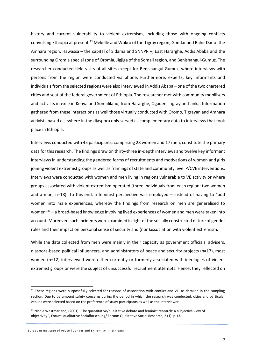history and current vulnerability to violent extremism, including those with ongoing conflicts convulsing Ethiopia at present.<sup>32</sup> Mekelle and Wukro of the Tigray region, Gondar and Bahir Dar of the Amhara region, Hawassa – the capital of Sidama and SNNPR –, East Hararghe, Addis Ababa and the surrounding Oromia special zone of Oromia, Jigjiga of the Somali region, and Benishangul-Gumuz. The researcher conducted field visits of all sites except for Benishangul-Gumuz, where interviews with persons from the region were conducted via phone. Furthermore, experts, key informants and individuals from the selected regions were also interviewed in Addis Ababa – one of the two chartered cities and seat of the federal government of Ethiopia. The researcher met with community mobilisers and activists in exile in Kenya and Somaliland, from Hararghe, Ogaden, Tigray and Jinka. Information gathered from these interactions as well those virtually conducted with Oromo, Tigrayan and Amhara activists based elsewhere in the diaspora only served as complementary data to interviews that took place in Ethiopia.

Interviews conducted with 45 participants, comprising 28 women and 17 men, constitute the primary data for this research. The findings draw on thirty-three in-depth interviews and twelve key informant interviews in understanding the gendered forms of recruitments and motivations of women and girls joining violent extremist groups as well as framings of state and community level P/CVE interventions. Interviews were conducted with women and men living in regions vulnerable to VE activity or where groups associated with violent extremism operated (three individuals from each region; two women and a man, n=18). To this end, a feminist perspective was employed – instead of having to "add women into male experiences, whereby the findings from research on men are generalised to women"<sup>33</sup> – a broad-based knowledge involving lived experiences of women and men were taken into account. Moreover, such incidents were examined in light of the socially constructed nature of gender roles and their impact on personal sense of security and (non)association with violent extremism.

While the data collected from men were mainly in their capacity as government officials, advisers, diaspora-based political influencers, and administrators of peace and security projects (n=17), most women (n=12) interviewed were either currently or formerly associated with ideologies of violent extremist groups or were the subject of unsuccessful recruitment attempts. Hence, they reflected on

<sup>&</sup>lt;sup>32</sup> These regions were purposefully selected for reasons of association with conflict and VE, as detailed in the sampling section. Due to paramount safety concerns during the period in which the research was conducted, cities and particular venues were selected based on the preference of study participants as well as the interviewer.

<sup>33</sup> Nicole Westmarland, (2001). 'The quantitative/qualitative debate and feminist research: a subjective view of objectivity.', Forum: qualitative Sozialforschung/ Forum: Qualitative Social Research, 2 (1). p.13.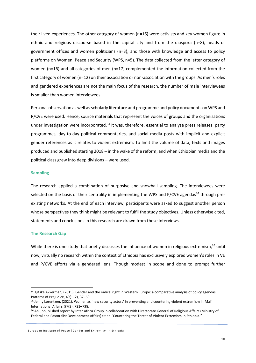their lived experiences. The other category of women (n=16) were activists and key women figure in ethnic and religious discourse based in the capital city and from the diaspora (n=8), heads of government offices and women politicians (n=3), and those with knowledge and access to policy platforms on Women, Peace and Security (WPS, n=5). The data collected from the latter category of women (n=16) and all categories of men (n=17) complemented the information collected from the first category of women (n=12) on their association or non-association with the groups. As men's roles and gendered experiences are not the main focus of the research, the number of male interviewees is smaller than women interviewees.

Personal observation as well as scholarly literature and programme and policy documents on WPS and P/CVE were used. Hence, source materials that represent the voices of groups and the organisations under investigation were incorporated.<sup>34</sup> It was, therefore, essential to analyse press releases, party programmes, day-to-day political commentaries, and social media posts with implicit and explicit gender references as it relates to violent extremism. To limit the volume of data, texts and images produced and published starting 2018 – in the wake of the reform, and when Ethiopian media and the political class grew into deep divisions – were used.

### <span id="page-12-0"></span>**Sampling**

The research applied a combination of purposive and snowball sampling. The interviewees were selected on the basis of their centrality in implementing the WPS and P/CVE agendas<sup>35</sup> through preexisting networks. At the end of each interview, participants were asked to suggest another person whose perspectives they think might be relevant to fulfil the study objectives. Unless otherwise cited, statements and conclusions in this research are drawn from these interviews.

### <span id="page-12-1"></span>**The Research Gap**

While there is one study that briefly discusses the influence of women in religious extremism,<sup>36</sup> until now, virtually no research within the context of Ethiopia has exclusively explored women's roles in VE and P/CVE efforts via a gendered lens. Though modest in scope and done to prompt further

<sup>34</sup> Tjitske Akkerman, (2015). Gender and the radical right in Western Europe: a comparative analysis of policy agendas. Patterns of Prejudice, 49(1–2), 37–60.

<sup>35</sup> Jenny Lorentzen, (2021). Women as 'new security actors' in preventing and countering violent extremism in Mali. International Affairs, 97(3), 721–738.

<sup>&</sup>lt;sup>36</sup> An unpublished report by Inter Africa Group in collaboration with Directorate General of Religious Affairs (Ministry of Federal and Pastoralist Development Affairs) titled "Countering the Threat of Violent Extremism in Ethiopia."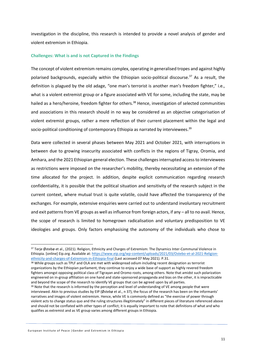investigation in the discipline, this research is intended to provide a novel analysis of gender and violent extremism in Ethiopia.

#### <span id="page-13-0"></span>**Challenges: What is and is not Captured in the Findings**

The concept of violent extremism remains complex, operating in generalised tropes and against highly polarised backgrounds, especially within the Ethiopian socio-political discourse.<sup>37</sup> As a result, the definition is plagued by the old adage, "one man's terrorist is another man's freedom fighter," i.e., what is a violent extremist group or a figure associated with VE for some, including the state, may be hailed as a hero/heroine, freedom fighter for others.<sup>38</sup> Hence, investigation of selected communities and associations in this research should in no way be considered as an objective categorisation of violent extremist groups, rather a mere reflection of their current placement within the legal and socio-political conditioning of contemporary Ethiopia as narrated by interviewees. 39

Data were collected in several phases between May 2021 and October 2021, with interruptions in between due to growing insecurity associated with conflicts in the regions of Tigray, Oromia, and Amhara, and the 2021 Ethiopian general election. These challenges interrupted access to interviewees as restrictions were imposed on the researcher's mobility, thereby necessitating an extension of the time allocated for the project. In addition, despite explicit communication regarding research confidentiality, it is possible that the political situation and sensitivity of the research subject in the current context, where mutual trust is quite volatile, could have affected the transparency of the exchanges. For example, extensive enquiries were carried out to understand involuntary recruitment and exit patterns from VE groups as well as influence from foreign actors, if any – all to no avail. Hence, the scope of research is limited to homegrown radicalisation and voluntary predisposition to VE ideologies and groups. Only factors emphasising the autonomy of the individuals who chose to

<sup>37</sup> Terje Østebø et al., (2021). Religion, Ethnicity and Charges of Extremism: The Dynamics Inter-Communal Violence in Ethiopia. [online] Eip.org. Available at: [https://www.eip.org/wp-content/uploads/2021/03/Ostebo-et-al-2021-Religion](https://www.eip.org/wp-content/uploads/2021/03/Ostebo-et-al-2021-Religion-ethnicity-and-charges-of-Extremism-in-Ethiopia-final)[ethnicity-and-charges-of-Extremism-in-Ethiopia-final](https://www.eip.org/wp-content/uploads/2021/03/Ostebo-et-al-2021-Religion-ethnicity-and-charges-of-Extremism-in-Ethiopia-final) (Last accessed 07 May 2021). P.31.

<sup>&</sup>lt;sup>38</sup> While groups such as TPLF and OLA are met with widespread odium including recent designation as terrorist organizations by the Ethiopian parliament, they continue to enjoy a wide base of support as highly revered freedom fighters amongst opposing political class of Tigrayan and Oromo roots, among others. Note that amidst such polarization engineered on in-group affiliation on one hand and state-sponsored propaganda and bias on the other, it is impracticable and beyond the scope of the research to identify VE groups that can be agreed upon by all parties.

<sup>&</sup>lt;sup>39</sup> Note that the research is informed by the perception and level of understanding of VE among people that were interviewed. Akin to previous studies by EIP (Østebø et al., n 37), the focus of the research has been on the informants' narratives and images of violent extremism. Hence, while VE is commonly defined as "the exercise of power through violent acts to change status quo and the ruling structures illegitimately" in different pieces of literature referenced above and should not be conflated with other types of conflict; it is equally important to note that definitions of what and who qualifies as extremist and as VE group varies among different groups in Ethiopia.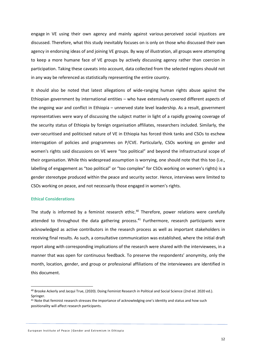engage in VE using their own agency and mainly against various perceived social injustices are discussed. Therefore, what this study inevitably focuses on is only on those who discussed their own agency in endorsing ideas of and joining VE groups. By way of illustration, all groups were attempting to keep a more humane face of VE groups by actively discussing agency rather than coercion in participation. Taking these caveats into account, data collected from the selected regions should not in any way be referenced as statistically representing the entire country.

It should also be noted that latest allegations of wide-ranging human rights abuse against the Ethiopian government by international entities – who have extensively covered different aspects of the ongoing war and conflict in Ethiopia – unnerved state level leadership. As a result, government representatives were wary of discussing the subject matter in light of a rapidly growing coverage of the security status of Ethiopia by foreign organisation affiliates, researchers included. Similarly, the over-securitised and politicised nature of VE in Ethiopia has forced think tanks and CSOs to eschew interrogation of policies and programmes on P/CVE. Particularly, CSOs working on gender and women's rights said discussions on VE were "too political" and beyond the infrastructural scope of their organisation. While this widespread assumption is worrying, one should note that this too (i.e., labelling of engagement as "too political" or "too complex" for CSOs working on women's rights) is a gender stereotype produced within the peace and security sector. Hence, interviews were limited to CSOs working on peace, and not necessarily those engaged in women's rights.

### <span id="page-14-0"></span>**Ethical Considerations**

The study is informed by a feminist research ethic.<sup>40</sup> Therefore, power relations were carefully attended to throughout the data gathering process.<sup>41</sup> Furthermore, research participants were acknowledged as active contributors in the research process as well as important stakeholders in receiving final results. As such, a consultative communication was established, where the initial draft report along with corresponding implications of the research were shared with the interviewees, in a manner that was open for continuous feedback. To preserve the respondents' anonymity, only the month, location, gender, and group or professional affiliations of the interviewees are identified in this document.

<sup>40</sup> Brooke Ackerly and Jacqui True, (2020). Doing Feminist Research in Political and Social Science (2nd ed. 2020 ed.). Springer.

<sup>41</sup> Note that feminist research stresses the importance of acknowledging one's identity and status and how such positionality will affect research participants.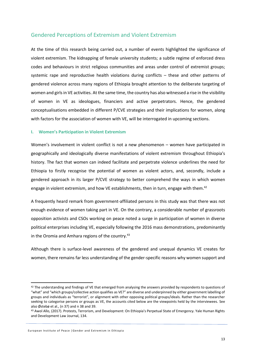# <span id="page-15-0"></span>Gendered Perceptions of Extremism and Violent Extremism

At the time of this research being carried out, a number of events highlighted the significance of violent extremism. The kidnapping of female university students; a subtle regime of enforced dress codes and behaviours in strict religious communities and areas under control of extremist groups; systemic rape and reproductive health violations during conflicts – these and other patterns of gendered violence across many regions of Ethiopia brought attention to the deliberate targeting of women and girls in VE activities. At the same time, the country has also witnessed a rise in the visibility of women in VE as ideologues, financiers and active perpetrators. Hence, the gendered conceptualisations embedded in different P/CVE strategies and their implications for women, along with factors for the association of women with VE, will be interrogated in upcoming sections.

### <span id="page-15-1"></span>**I. Women's Participation in Violent Extremism**

Women's involvement in violent conflict is not a new phenomenon – women have participated in geographically and ideologically diverse manifestations of violent extremism throughout Ethiopia's history. The fact that women can indeed facilitate and perpetrate violence underlines the need for Ethiopia to firstly recognise the potential of women as violent actors, and, secondly, include a gendered approach in its larger P/CVE strategy to better comprehend the ways in which women engage in violent extremism, and how VE establishments, then in turn, engage with them.<sup>42</sup>

A frequently heard remark from government-affiliated persons in this study was that there was not enough evidence of women taking part in VE. On the contrary, a considerable number of grassroots opposition activists and CSOs working on peace noted a surge in participation of women in diverse political enterprises including VE, especially following the 2016 mass demonstrations, predominantly in the Oromia and Amhara regions of the country.<sup>43</sup>

Although there is surface-level awareness of the gendered and unequal dynamics VE creates for women, there remains far less understanding of the gender-specific reasons why women support and

<sup>42</sup> The understanding and findings of VE that emerged from analysing the answers provided by respondents to questions of "what" and "which groups/collective action qualifies as VE?" are diverse and underpinned by either government labelling of groups and individuals as "terrorist", or alignment with other opposing political groups/ideals. Rather than the researcher seeking to categorise persons or groups as VE, the accounts cited below are the viewpoints held by the interviewees. See also Østebø et al., (n 37) and n 38 and 39.

<sup>43</sup> Awol Allo, (2017). Protests, Terrorism, and Development: On Ethiopia's Perpetual State of Emergency. Yale Human Rights and Development Law Journal, 134.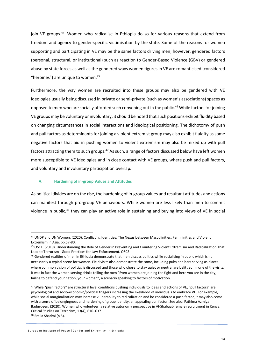join VE groups.<sup>44</sup> Women who radicalise in Ethiopia do so for various reasons that extend from freedom and agency to gender-specific victimisation by the state. Some of the reasons for women supporting and participating in VE may be the same factors driving men; however, gendered factors (personal, structural, or institutional) such as reaction to Gender-Based Violence (GBV) or gendered abuse by state forces as well as the gendered ways women figures in VE are romanticised (considered "heroines") are unique to women.<sup>45</sup>

Furthermore, the way women are recruited into these groups may also be gendered with VE ideologies usually being discussed in private or semi-private (such as women's associations) spaces as opposed to men who are socially afforded such convening out in the public.<sup>46</sup> While factors for joining VE groups may be voluntary or involuntary, it should be noted that such positions exhibit fluidity based on changing circumstances in social interactions and ideological positioning. The dichotomy of push and pull factors as determinants for joining a violent extremist group may also exhibit fluidity as some negative factors that aid in pushing women to violent extremism may also be mixed up with pull factors attracting them to such groups.<sup>47</sup> As such, a range of factors discussed below have left women more susceptible to VE ideologies and in close contact with VE groups, where push and pull factors, and voluntary and involuntary participation overlap.

### <span id="page-16-0"></span>**A. Hardening of in-group Values and Attitudes**

As political divides are on the rise, the hardening of in-group values and resultant attitudes and actions can manifest through pro-group VE behaviours. While women are less likely than men to commit violence in public,<sup>48</sup> they can play an active role in sustaining and buying into views of VE in social

<sup>44</sup> UNDP and UN Women, (2020). Conflicting Identities: The Nexus between Masculinities, Femininities and Violent Extremism in Asia, pp.57-80.

<sup>45</sup> OSCE. (2019). Understanding the Role of Gender in Preventing and Countering Violent Extremism and Radicalization That Lead to Terrorism - Good Practices for Law Enforcement. OSCE.

<sup>46</sup> Gendered realities of men in Ethiopia demonstrate that men discuss politics while socialising in public which isn't necessarily a typical scene for women. Field visits also demonstrate the same, including pubs and bars serving as places where common vision of politics is discussed and those who chose to stay quiet or neutral are belittled. In one of the visits, it was in fact the women serving drinks telling the men "Even women are joining the fight and here you are in the city, failing to defend your nation, your woman", a scenario speaking to factors of motivation.

<sup>47</sup> While "push factors" are structural level conditions pushing individuals to ideas and actions of VE, "pull factors" are psychological and socio-economic/political triggers increasing the likelihood of individuals to embrace VE. For example, while social marginalization may increase vulnerability to radicalization and be considered a push factor, it may also come with a sense of belongingness and hardening of group identity, an appealing pull factor. See also: Fathima Azmiya Badurdeen, (2020). Women who volunteer: a relative autonomy perspective in Al-Shabaab female recruitment in Kenya. Critical Studies on Terrorism, 13(4), 616–637.

<sup>48</sup> Erella Shadmi (n 5).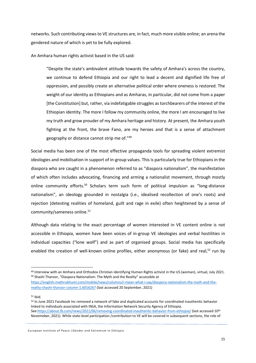networks. Such contributing views to VE structures are, in fact, much more visible online; an arena the gendered nature of which is yet to be fully explored.

An Amhara human rights activist based in the US said:

"Despite the state's ambivalent attitude towards the safety of Amhara's across the country, we continue to defend Ethiopia and our right to lead a decent and dignified life free of oppression, and possibly create an alternative political order where oneness is restored. The weight of our identity as Ethiopians and as Amharas, in particular, did not come from a paper [the Constitution] but, rather, via indefatigable struggles as torchbearers of the interest of the Ethiopian identity. The more I follow my community online, the more I am encouraged to live my truth and grow prouder of my Amhara heritage and history. At present, the Amhara youth fighting at the front, the brave Fano, are my heroes and that is a sense of attachment geography or distance cannot strip me of."<sup>49</sup>

Social media has been one of the most effective propaganda tools for spreading violent extremist ideologies and mobilisation in support of in-group values. This is particularly true for Ethiopians in the diaspora who are caught in a phenomenon referred to as "diaspora nationalism", the manifestation of which often includes advocating, financing and arming a nationalist movement, through mostly online community efforts.<sup>50</sup> Scholars term such form of political impulsion as "long-distance nationalism", an ideology grounded in nostalgia (i.e., idealised recollection of one's roots) and rejection (detesting realities of homeland, guilt and rage in exile) often heightened by a sense of community/sameness online.<sup>51</sup>

Although data relating to the exact percentage of women interested in VE content online is not accessible in Ethiopia, women have been voices of in-group VE ideologies and verbal hostilities in individual capacities ("lone wolf") and as part of organised groups. Social media has specifically enabled the creation of well-known online profiles, either anonymous (or fake) and real,<sup>52</sup> run by

[https://english.mathrubhumi.com/mobile/news/columns/i-mean-what-i-say/diaspora-nationalism-the-myth-and-the](https://english.mathrubhumi.com/mobile/news/columns/i-mean-what-i-say/diaspora-nationalism-the-myth-and-the-reality-shashi-tharoor-column-1.6016267)[reality-shashi-tharoor-column-1.6016267](https://english.mathrubhumi.com/mobile/news/columns/i-mean-what-i-say/diaspora-nationalism-the-myth-and-the-reality-shashi-tharoor-column-1.6016267) (last accessed 20 September, 2021)

<sup>51</sup> Ibid.

<sup>49</sup> Interview with an Amhara and Orthodox Christian identifying Human Rights activist in the US (woman), virtual, July 2021. <sup>50</sup> Shashi Tharoor, "Diaspora Nationalism: The Myth and the Reality" accessible at

<sup>52</sup> In June 2021 Facebook Inc removed a network of fake and duplicated accounts for coordinated inauthentic behavior linked to individuals associated with INSA, the Information Network Security Agency of Ethiopia. Se[e:https://about.fb.com/news/2021/06/removing-coordinated-inauthentic-behavior-from-ethiopia/](https://about.fb.com/news/2021/06/removing-coordinated-inauthentic-behavior-from-ethiopia/) (last accessed 10th Novemeber, 2021). While state-level participation /contribution to VE will be covered in subsequent sections, the role of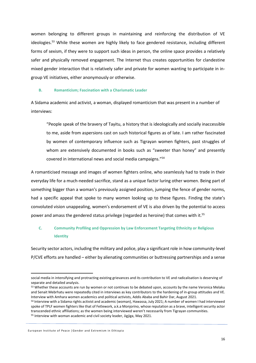women belonging to different groups in maintaining and reinforcing the distribution of VE ideologies.<sup>53</sup> While these women are highly likely to face gendered resistance, including different forms of sexism, if they were to support such ideas in person, the online space provides a relatively safer and physically removed engagement. The Internet thus creates opportunities for clandestine mixed gender interaction that is relatively safer and private for women wanting to participate in ingroup VE initiatives, either anonymously or otherwise.

### <span id="page-18-0"></span>**B. Romanticism; Fascination with a Charismatic Leader**

A Sidama academic and activist, a woman, displayed romanticism that was present in a number of interviews:

"People speak of the bravery of Tayitu, a history that is ideologically and socially inaccessible to me, aside from aspersions cast on such historical figures as of late. I am rather fascinated by women of contemporary influence such as Tigrayan women fighters, past struggles of whom are extensively documented in books such as "sweeter than honey" and presently covered in international news and social media campaigns." 54

A romanticised message and images of women fighters online, who seamlessly had to trade in their everyday life for a much-needed sacrifice, stand as a unique factor luring other women. Being part of something bigger than a woman's previously assigned position, jumping the fence of gender norms, had a specific appeal that spoke to many women looking up to these figures. Finding the state's convoluted vision unappealing, women's endorsement of VE is also driven by the potential to access power and amass the gendered status privilege (regarded as heroine) that comes with it. 55

# <span id="page-18-1"></span>**C. Community Profiling and Oppression by Law Enforcement Targeting Ethnicity or Religious Identity**

Security sector actors, including the military and police, play a significant role in how community-level P/CVE efforts are handled – either by alienating communities or buttressing partnerships and a sense

social media in intensifying and protracting existing grievances and its contribution to VE and radicalisation is deserving of separate and detailed analysis.

<sup>53</sup> Whether these accounts are run by women or not continues to be debated upon, accounts by the name Veronica Melaku and Senait Mebrhatu were repeatedly cited in interviews as key contributors to the hardening of in-group attitudes and VE. Interview with Amhara women academics and political activists, Addis Ababa and Bahir Dar, August 2021.

<sup>54</sup> Interview with a Sidama rights activist and academic (woman), Hawassa, July 2021; A number of women I had interviewed spoke of TPLF women fighters like that of Fetlework, a.k.a Monjorino, whose reputation as a brave, intelligent security actor transcended ethnic affiliations; as the women being interviewed weren't necessarily from Tigrayan communities. <sup>55</sup> Interview with woman academic and civil society leader, Jigjiga, May 2021.

European Institute of Peace |Gender and Extremism in Ethiopia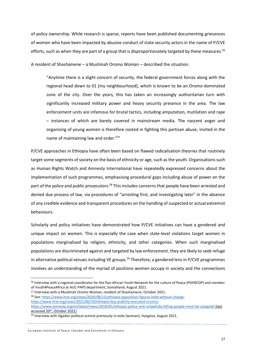of policy ownership. While research is sparse, reports have been published documenting grievances of women who have been impacted by abusive conduct of state security actors in the name of P/CVE efforts, such as when they are part of a group that is disproportionately targeted by these measures.<sup>56</sup>

A resident of Shashamene – a Muslimah Oromo Woman – described the situation:

"Anytime there is a slight concern of security, the federal government forces along with the regional head down to 01 [my neighbourhood], which is known to be an Oromo-dominated zone of the city. Over the years, this has taken an increasingly authoritarian turn with significantly increased military power and heavy security presence in the area. The law enforcement units are infamous for brutal tactics, including amputation, mutilation and rape – instances of which are barely covered in mainstream media. The nascent anger and organising of young women is therefore rooted in fighting this partisan abuse, invited in the name of maintaining law and order.<sup>57</sup>"

P/CVE approaches in Ethiopia have often been based on flawed radicalisation theories that routinely target some segments of society on the basis of ethnicity or age, such as the youth. Organisations such as Human Rights Watch and Amnesty International have repeatedly expressed concerns about the implementation of such programmes, emphasising procedural gaps including abuse of power on the part of the police and public prosecutors.<sup>58</sup> This includes concerns that people have been arrested and denied due process of law, via procedures of "arresting first, and investigating later" in the absence of any credible evidence and transparent procedures on the handling of suspected or actual extremist behaviours.

Scholarly and policy initiatives have demonstrated how P/CVE initiatives can have a gendered and unique impact on women. This is especially the case when state-level violations target women in populations marginalised by religion, ethnicity, and other categories. When such marginalised populations are discriminated against and targeted by law enforcement, they are likely to seek refuge in alternative political venues including VE groups.<sup>59</sup> Therefore, a gendered lens in P/CVE programmes involves an understanding of the myriad of positions women occupy in society and the connections

<sup>58</sup> See[: https://www.hrw.org/news/2020/08/15/ethiopia-opposition-figures-held-without-charge;](https://www.hrw.org/news/2020/08/15/ethiopia-opposition-figures-held-without-charge) 

[https://www.hrw.org/news/2021/06/10/ethiopia-boy-publicly-executed-oromia;](https://www.hrw.org/news/2021/06/10/ethiopia-boy-publicly-executed-oromia) 

<sup>56</sup> Interview with a regional coordinator for the Pan-African Youth Network for the culture of Peace (PAYNCOP) and member of Youth4PeaceAfrica at AUC-PAPS department, Somaliland, August 2021.

<sup>57</sup> Interview with a Muslimah Oromo Woman, resident of Shashamene, October 2021.

<https://www.amnesty.org/en/latest/news/2018/05/ethiopia-police-unit-unlawfully-killing-people-must-be-stopped/> (last accessed 20<sup>th</sup>, October 2021)

<sup>59</sup> Interview with Ogaden political activist previously in exile (woman), Hargeisa, August 2021.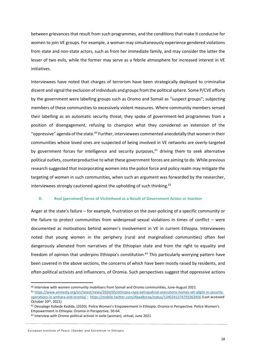between grievances that result from such programmes, and the conditions that make it conducive for women to join VE groups. For example, a woman may simultaneously experience gendered violations from state and non-state actors, such as from her immediate family, and may consider the latter the lesser of two evils, while the former may serve as a febrile atmosphere for increased interest in VE initiatives.

Interviewees have noted that charges of terrorism have been strategically deployed to criminalise dissent and signal the exclusion of individuals and groups from the political sphere. Some P/CVE efforts by the government were labelling groups such as Oromo and Somali as "suspect groups"; subjecting members of these communities to excessively violent measures. Where community members sensed their labelling as an automatic security threat, they spoke of government-led programmes from a position of disengagement, refusing to champion what they considered an extension of the "oppressive" agenda of the state.<sup>60</sup> Further, interviewees commented anecdotally that women in their communities whose loved ones are suspected of being involved in VE networks are overly-targeted by government forces for intelligence and security purposes, $61$  driving them to seek alternative political outlets, counterproductive to what these government forces are aiming to do. While previous research suggested that incorporating women into the police force and policy realm may mitigate the targeting of women in such communities, when such an argument was forwarded by the researcher, interviewees strongly cautioned against the upholding of such thinking.<sup>62</sup>

#### <span id="page-20-0"></span>**D. Real (perceived) Sense of Victimhood as a Result of Government Action or Inaction**

Anger at the state's failure – for example, frustration on the over-policing of a specific community or the failure to protect communities from widespread sexual violations in times of conflict – were documented as motivations behind women's involvement in VE in current Ethiopia. Interviewees noted that young women in the periphery (rural and marginalised communities) often feel dangerously alienated from narratives of the Ethiopian state and from the right to equality and freedom of opinion that underpins Ethiopia's constitution.<sup>63</sup> This particularly worrying pattern have been covered in the above sections, the concerns of which have been mostly raised by residents, and often political activists and influencers, of Oromia. Such perspectives suggest that oppressive actions

<sup>60</sup> Interview with women community mobilisers from Somali and Oromo communities, June-August 2021.

<sup>61</sup> [https://www.amnesty.org/en/latest/news/2020/05/ethiopia-rape-extrajudicial-executions-homes-set-alight-in-security](https://www.amnesty.org/en/latest/news/2020/05/ethiopia-rape-extrajudicial-executions-homes-set-alight-in-security-operations-in-amhara-and-oromia/)[operations-in-amhara-and-oromia/](https://www.amnesty.org/en/latest/news/2020/05/ethiopia-rape-extrajudicial-executions-homes-set-alight-in-security-operations-in-amhara-and-oromia/) ;<https://mobile.twitter.com/AbaaBoraa/status/1340241374793363456> (Last accessed October 20th, 2021)

<sup>62</sup> Dessalegn Kebede Kedida, (2020). Police Women's Empowerment in Ethiopia. Oromia in Perspective. Police Women's Empowerment in Ethiopia: Oromia in Perspective, 50-64.

<sup>63</sup> Interview with Oromo political activist in exile (woman), virtual, June 2021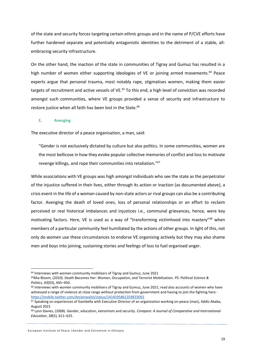of the state and security forces targeting certain ethnic groups and in the name of P/CVE efforts have further hardened separate and potentially antagonistic identities to the detriment of a stable, allembracing security infrastructure.

On the other hand, the inaction of the state in communities of Tigray and Gumuz has resulted in a high number of women either supporting ideologies of VE or joining armed movements.<sup>64</sup> Peace experts argue that personal trauma, most notably rape, stigmatises women, making them easier targets of recruitment and active vessels of VE.<sup>65</sup> To this end, a high level of conviction was recorded amongst such communities, where VE groups provided a sense of security and infrastructure to restore justice when all faith has been lost in the State.<sup>66</sup>

### <span id="page-21-0"></span>**E. Avenging**

The executive director of a peace organisation, a man, said:

"Gender is not exclusively dictated by culture but also politics. In some communities, women are the most bellicose in how they evoke popular collective memories of conflict and loss to motivate revenge killings, and rope their communities into retaliation."<sup>67</sup>

While associations with VE groups was high amongst individuals who see the state as the perpetrator of the injustice suffered in their lives, either through its action or inaction (as documented above), a crisis event in the life of a woman caused by non-state actors or rival groups can also be a contributing factor. Avenging the death of loved ones, loss of personal relationships or an effort to reclaim perceived or real historical imbalances and injustices i.e., communal grievances, hence, were key motivating factors. Here, VE is used as a way of "transforming victimhood into mastery"<sup>68</sup> when members of a particular community feel humiliated by the actions of other groups. In light of this, not only do women use these circumstances to endorse VE organising actively but they may also shame men and boys into joining, sustaining stories and feelings of loss to fuel organised anger.

<sup>64</sup> Interviews with women community mobilisers of Tigray and Gumuz, June 2021

<sup>65</sup>Mia Bloom, (2010). Death Becomes Her: Women, Occupation, and Terrorist Mobilization. *PS: Political Science & Politics*, *43*(03), 445–450.

<sup>&</sup>lt;sup>66</sup> Interviews with women community mobilisers of Tigray and Gumuz, June 2021; read also accounts of women who have witnessed a range of violence at close range without protection from government and having to join the fighting here <https://mobile.twitter.com/declanwalsh/status/1414595861359833092>

<sup>67</sup> Speaking on experiences of Gambella with Executive Director of an organization working on peace (man), Addis Ababa, August 2021

<sup>68</sup> Lynn Davies, (2008). Gender, education, extremism and security. *Compare: A Journal of Comparative and International Education*, *38*(5), 611–625.

European Institute of Peace |Gender and Extremism in Ethiopia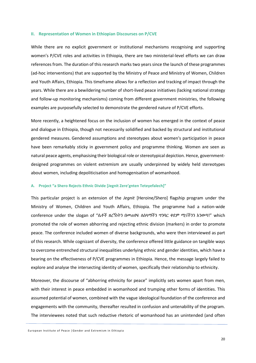### <span id="page-22-0"></span>**II. Representation of Women in Ethiopian Discourses on P/CVE**

While there are no explicit government or institutional mechanisms recognising and supporting women's P/CVE roles and activities in Ethiopia, there are two ministerial-level efforts we can draw references from. The duration of this research marks two years since the launch of these programmes (ad-hoc interventions) that are supported by the Ministry of Peace and Ministry of Women, Children and Youth Affairs, Ethiopia. This timeframe allows for a reflection and tracking of impact through the years. While there are a bewildering number of short-lived peace initiatives (lacking national strategy and follow-up monitoring mechanisms) coming from different government ministries, the following examples are purposefully selected to demonstrate the gendered nature of P/CVE efforts.

More recently, a heightened focus on the inclusion of women has emerged in the context of peace and dialogue in Ethiopia, though not necessarily solidified and backed by structural and institutional gendered measures. Gendered assumptions and stereotypes about women's participation in peace have been remarkably sticky in government policy and programme thinking. Women are seen as natural peace agents, emphasising their biological role or stereotypical depiction. Hence, governmentdesigned programmes on violent extremism are usually underpinned by widely held stereotypes about women, including depoliticisation and homogenisation of womanhood.

#### <span id="page-22-1"></span>**A. Project "a Shero Rejects Ethnic Divide [Jegnit Zere'gnten Teteyefalech]"**

This particular project is an extension of the *Jegnit* [Heroine/Shero] flagship program under the Ministry of Women, Children and Youth Affairs, Ethiopia. The programme had a nation-wide conference under the slogan of "ሴቶች ዘረኝነትን በመጠየፍ ለሰላማችን ግንባር ቀደም ሚናችንን እንወጣ!" which promoted the role of women abhorring and rejecting ethnic division (markers) in order to promote peace. The conference included women of diverse backgrounds, who were then interviewed as part of this research. While cognizant of diversity, the conference offered little guidance on tangible ways to overcome entrenched structural inequalities underlying ethnic and gender identities, which have a bearing on the effectiveness of P/CVE programmes in Ethiopia. Hence, the message largely failed to explore and analyse the intersecting identity of women, specifically their relationship to ethnicity.

Moreover, the discourse of "abhorring ethnicity for peace" implicitly sets women apart from men, with their interest in peace embedded in womanhood and trumping other forms of identities. This assumed potential of women, combined with the vague ideological foundation of the conference and engagements with the community, thereafter resulted in confusion and untenability of the program. The interviewees noted that such reductive rhetoric of womanhood has an unintended (and often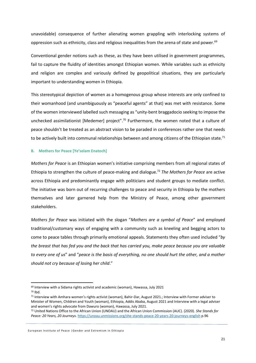unavoidable) consequence of further alienating women grappling with interlocking systems of oppression such as ethnicity, class and religious inequalities from the arena of state and power.<sup>69</sup>

Conventional gender notions such as these, as they have been utilised in government programmes, fail to capture the fluidity of identities amongst Ethiopian women. While variables such as ethnicity and religion are complex and variously defined by geopolitical situations, they are particularly important to understanding women in Ethiopia.

This stereotypical depiction of women as a homogenous group whose interests are only confined to their womanhood (and unambiguously as "peaceful agents" at that) was met with resistance. Some of the women interviewed labelled such messaging as "unity-bent braggadocio seeking to impose the unchecked assimilationist [Medemer] project".<sup>70</sup> Furthermore, the women noted that a culture of peace shouldn't be treated as an abstract vision to be paraded in conferences rather one that needs to be actively built into communal relationships between and among citizens of the Ethiopian state.<sup>71</sup>

### <span id="page-23-0"></span>**B. Mothers for Peace [Ye'selam Enatoch]**

*Mothers for Peace* is an Ethiopian women's initiative comprising members from all regional states of Ethiopia to strengthen the culture of peace-making and dialogue.<sup>72</sup> *The Mothers for Peace* are active across Ethiopia and predominantly engage with politicians and student groups to mediate conflict. The initiative was born out of recurring challenges to peace and security in Ethiopia by the mothers themselves and later garnered help from the Ministry of Peace, among other government stakeholders.

*Mothers for Peace* was initiated with the slogan "*Mothers are a symbol of Peace*" and employed traditional/customary ways of engaging with a community such as kneeling and begging actors to come to peace tables through primarily emotional appeals. Statements they often used included "*by the breast that has fed you and the back that has carried you, make peace because you are valuable to every one of us*" and "*peace is the basis of everything, no one should hurt the other, and a mother should not cry because of losing her child*."

<sup>69</sup> Interview with a Sidama rights activist and academic (woman), Hawassa, July 2021 <sup>70</sup> Ibd.

 $71$  Interview with Amhara women's rights activist (woman), Bahir-Dar, August 2021.; Interview with Former adviser to Minister of Women, Children and Youth (woman), Ethiopia, Addis Ababa, August 2021 and Interview with a legal adviser and women's rights advocate from Dawuro (woman), Hawassa, July 2021.

<sup>72</sup> United Nations Office to the African Union (UNOAU) and the African Union Commission (AUC). (2020). *She Stands for Peace: 20 Years, 20 Journeys*[. https://unoau.unmissions.org/she-stands-peace-20-years-20-journeys-english](https://unoau.unmissions.org/she-stands-peace-20-years-20-journeys-english) p.96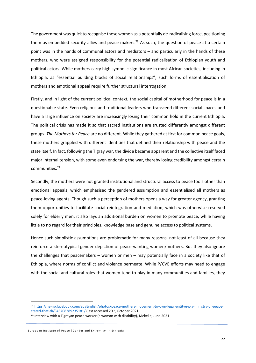The government was quick to recognise these women as a potentially de-radicalising force, positioning them as embedded security allies and peace makers.<sup>73</sup> As such, the question of peace at a certain point was in the hands of communal actors and mediators – and particularly in the hands of these mothers, who were assigned responsibility for the potential radicalisation of Ethiopian youth and political actors. While mothers carry high symbolic significance in most African societies, including in Ethiopia, as "essential building blocks of social relationships", such forms of essentialisation of mothers and emotional appeal require further structural interrogation.

Firstly, and in light of the current political context, the social capital of motherhood for peace is in a questionable state. Even religious and traditional leaders who transcend different social spaces and have a large influence on society are increasingly losing their common hold in the current Ethiopia. The political crisis has made it so that sacred institutions are trusted differently amongst different groups. *The Mothers for Peace* are no different. While they gathered at first for common peace goals, these mothers grappled with different identities that defined their relationship with peace and the state itself. In fact, following the Tigray war, the divide became apparent and the collective itself faced major internal tension, with some even endorsing the war, thereby losing credibility amongst certain communities.<sup>74</sup>

Secondly, the mothers were not granted institutional and structural access to peace tools other than emotional appeals, which emphasised the gendered assumption and essentialised all mothers as peace-loving agents. Though such a perception of mothers opens a way for greater agency, granting them opportunities to facilitate social reintegration and mediation, which was otherwise reserved solely for elderly men; it also lays an additional burden on women to promote peace, while having little to no regard for their principles, knowledge base and genuine access to political systems.

Hence such simplistic assumptions are problematic for many reasons, not least of all because they reinforce a stereotypical gender depiction of peace-wanting women/mothers. But they also ignore the challenges that peacemakers – women or men – may potentially face in a society like that of Ethiopia, where norms of conflict and violence permeate. While P/CVE efforts may need to engage with the social and cultural roles that women tend to play in many communities and families, they

<sup>73</sup> [https://ne-np.facebook.com/epaEnglish/photos/peace-mothers-movement-to-own-legal-entitye-p-a-ministry-of-peace](https://ne-np.facebook.com/epaEnglish/photos/peace-mothers-movement-to-own-legal-entitye-p-a-ministry-of-peace-stated-that-th/946708389235181/)[stated-that-th/946708389235181/](https://ne-np.facebook.com/epaEnglish/photos/peace-mothers-movement-to-own-legal-entitye-p-a-ministry-of-peace-stated-that-th/946708389235181/) (last accessed 20th, October 2021)

 $74$  Interview with a Tigrayan peace worker (a woman with disability), Mekelle, June 2021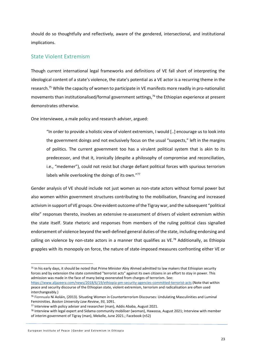should do so thoughtfully and reflectively, aware of the gendered, intersectional, and institutional implications.

# <span id="page-25-0"></span>State Violent Extremism

Though current international legal frameworks and definitions of VE fall short of interpreting the ideological content of a state's violence, the state's potential as a VE actor is a recurring theme in the research.<sup>75</sup> While the capacity of women to participate in VE manifests more readily in pro-nationalist movements than institutionalised/formal government settings, <sup>76</sup> the Ethiopian experience at present demonstrates otherwise.

One interviewee, a male policy and research adviser, argued:

"In order to provide a holistic view of violent extremism, I would [..] encourage us to look into the government doings and not exclusively focus on the usual "suspects," left in the margins of politics. The current government too has a virulent political system that is akin to its predecessor, and that it, ironically (despite a philosophy of compromise and reconciliation, i.e., "medemer"), could not resist but charge defiant political forces with spurious terrorism labels while overlooking the doings of its own."77

Gender analysis of VE should include not just women as non-state actors without formal power but also women within government structures contributing to the mobilisation, financing and increased activism in support of VE groups. One evident outcome of the Tigray war, and the subsequent "political elite" responses thereto, involves an extensive re-assessment of drivers of violent extremism within the state itself. State rhetoric and responses from members of the ruling political class signalled endorsement of violence beyond the well-defined general duties of the state, including endorsing and calling on violence by non-state actors in a manner that qualifies as VE.<sup>78</sup> Additionally, as Ethiopia grapples with its monopoly on force, the nature of state-imposed measures confronting either VE or

<sup>&</sup>lt;sup>75</sup> In his early days, it should be noted that Prime Minister Abiy Ahmed admitted to law makers that Ethiopian security forces and by extension the state committed "terrorist acts" against its own citizens in an effort to stay in power. This admission was made in the face of many being exonerated from charges of terrorism. See: <https://www.aljazeera.com/news/2018/6/19/ethiopia-pm-security-agencies-committed-terrorist-acts> (Note that within

peace and security discourse of the Ethiopian state, violent extremism, terrorism and radicalisation are often used interchangeably.)

<sup>76</sup> Fionnuala Ní Aoláin, (2013). Situating Women in Counterterrorism Discourses: Undulating Masculinities and Luminal Femininities. *Boston University Law Review*, *93*, 1091.

<sup>77</sup> Interview with policy adviser and researcher (man), Addis Ababa, August 2021.

<sup>78</sup> Interview with legal expert and Sidama community mobiliser (woman), Hawassa, August 2021; Interview with member of interim government of Tigray (man), Mekelle, June 2021.; Facebook (n52)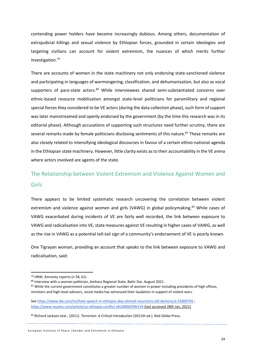contending power holders have become increasingly dubious. Among others, documentation of extrajudicial killings and sexual violence by Ethiopian forces, grounded in certain ideologies and targeting civilians can account for violent extremism, the nuances of which merits further investigation.<sup>79</sup>

There are accounts of women in the state machinery not only endorsing state-sanctioned violence and participating in languages of warmongering, classification, and dehumanisation, but also as vocal supporters of para-state actors.<sup>80</sup> While interviewees shared semi-substantiated concerns over ethnic-based resource mobilisation amongst state-level politicians for paramilitary and regional special forces they considered to be VE actors (during the data collection phase), such form of support was later mainstreamed and openly endorsed by the government (by the time this research was in its editorial phase). Although accusations of supporting such structures need further scrutiny, there are several remarks made by female politicians disclosing sentiments of this nature.<sup>81</sup> These remarks are also closely related to intensifying ideological discourses in favour of a certain ethno-national agenda in the Ethiopian state machinery. However, little clarity exists as to their accountability in the VE arena where actors involved are agents of the state.

# <span id="page-26-0"></span>The Relationship between Violent Extremism and Violence Against Women and Girls

There appears to be limited systematic research uncovering the correlation between violent extremism and violence against women and girls (VAWG) in global policymaking.<sup>82</sup> While cases of VAWG exacerbated during incidents of VE are fairly well recorded, the link between exposure to VAWG and radicalisation into VE, state measures against VE resulting in higher cases of VAWG, as well as the rise in VAWG as a potential tell-tail sign of a community's endorsement of VE is poorly known.

One Tigrayan woman, providing an account that speaks to the link between exposure to VAWG and radicalisation, said:

<sup>79</sup> HRW; Amnesty reports (n 58, 61)

<sup>80</sup> Interview with a woman politician, Amhara Regional State, Bahir Dar, August 2021.

<sup>81</sup> While the current government constitutes a greater number of women in power including presidents of high offices, ministers and high-level advisers, social media has witnessed their laudation in support of violent wars.

Se[e https://www.dw.com/en/hate-speech-in-ethiopia-abiy-ahmed-resurrects-old-demons/a-55800705](https://www.dw.com/en/hate-speech-in-ethiopia-abiy-ahmed-resurrects-old-demons/a-55800705) ; <https://www.reuters.com/article/us-ethiopia-conflict-idUSKBN29W1V4> (last accessed 28th Jan, 2021)

<sup>82</sup> Richard Jackson etal., (2011). *Terrorism: A Critical Introduction* (2011th ed.). Red Globe Press.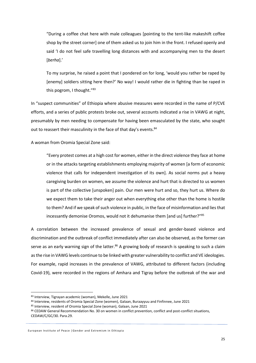"During a coffee chat here with male colleagues [pointing to the tent-like makeshift coffee shop by the street corner] one of them asked us to join him in the front. I refused openly and said 'I do not feel safe travelling long distances with and accompanying men to the desert [*berha*].'

To my surprise, he raised a point that I pondered on for long, 'would you rather be raped by [enemy] soldiers sitting here then?' No way! I would rather die in fighting than be raped in this pogrom, I thought."<sup>83</sup>

In "suspect communities" of Ethiopia where abusive measures were recorded in the name of P/CVE efforts, and a series of public protests broke out, several accounts indicated a rise in VAWG at night, presumably by men needing to compensate for having been emasculated by the state, who sought out to reassert their masculinity in the face of that day's events.<sup>84</sup>

A woman from Oromia Special Zone said:

"Every protest comes at a high cost for women, either in the direct violence they face at home or in the attacks targeting establishments employing majority of women [a form of economic violence that calls for independent investigation of its own]. As social norms put a heavy caregiving burden on women, we assume the violence and hurt that is directed to us women is part of the collective [unspoken] pain. Our men were hurt and so, they hurt us. Where do we expect them to take their anger out when everything else other than the home is hostile to them? And if we speak of such violence in public, in the face of misinformation and lies that incessantly demonise Oromos, would not it dehumanise them [and us] further?"<sup>85</sup>

A correlation between the increased prevalence of sexual and gender-based violence and discrimination and the outbreak of conflict immediately after can also be observed, as the former can serve as an early warning sign of the latter.<sup>86</sup> A growing body of research is speaking to such a claim as the rise in VAWG levels continue to be linked with greater vulnerability to conflict and VE ideologies. For example, rapid increases in the prevalence of VAWG, attributed to different factors (including Covid-19), were recorded in the regions of Amhara and Tigray before the outbreak of the war and

<sup>83</sup> Interview, Tigrayan academic (woman), Mekelle, June 2021

<sup>84</sup> Interview, residents of Oromia Special Zone (women), Galaan, Buraayyuu and Finfinnee, June 2021

<sup>85</sup> Interview, resident of Oromia Special Zone (woman), Galaan, June 2021

<sup>86</sup> CEDAW General Recommendation No. 30 on women in conflict prevention, conflict and post-conflict situations, CEDAW/C/GC/30. Para.29.

European Institute of Peace |Gender and Extremism in Ethiopia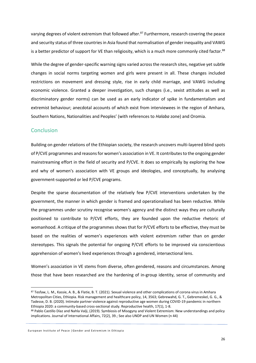varying degrees of violent extremism that followed after. <sup>87</sup> Furthermore, research covering the peace and security status of three countries in Asia found that normalisation of gender inequality and VAWG is a better predictor of support for VE than religiosity, which is a much more commonly cited factor.<sup>88</sup>

While the degree of gender-specific warning signs varied across the research sites, negative yet subtle changes in social norms targeting women and girls were present in all. These changes included restrictions on movement and dressing style, rise in early child marriage, and VAWG including economic violence. Granted a deeper investigation, such changes (i.e., sexist attitudes as well as discriminatory gender norms) can be used as an early indicator of spike in fundamentalism and extremist behaviour; anecdotal accounts of which exist from interviewees in the region of Amhara, Southern Nations, Nationalities and Peoples' (with references to *Halaba* zone) and Oromia.

### <span id="page-28-0"></span>**Conclusion**

Building on gender relations of the Ethiopian society, the research uncovers multi-layered blind spots of P/CVE programmes and reasons for women's association in VE. It contributes to the ongoing gender mainstreaming effort in the field of security and P/CVE. It does so empirically by exploring the how and why of women's association with VE groups and ideologies, and conceptually, by analysing government-supported or led P/CVE programs.

Despite the sparse documentation of the relatively few P/CVE interventions undertaken by the government, the manner in which gender is framed and operationalised has been reductive. While the programmes under scrutiny recognise women's agency and the distinct ways they are culturally positioned to contribute to P/CVE efforts, they are founded upon the reductive rhetoric of womanhood. A critique of the programmes shows that for P/CVE efforts to be effective, they must be based on the realities of women's experiences with violent extremism rather than on gender stereotypes. This signals the potential for ongoing P/CVE efforts to be improved via conscientious apprehension of women's lived experiences through a gendered, intersectional lens.

Women's association in VE stems from diverse, often gendered, reasons and circumstances. Among those that have been researched are the hardening of in-group identity, sense of community and

<sup>87</sup> Tesfaw, L. M., Kassie, A. B., & Flatie, B. T. (2021). Sexual violence and other complications of corona virus in Amhara Metropolitan Cities, Ethiopia. Risk management and healthcare policy, 14, 3563; Gebrewahd, G. T., Gebremeskel, G. G., & Tadesse, D. B. (2020). Intimate partner violence against reproductive age women during COVID-19 pandemic in northern Ethiopia 2020: a community-based cross-sectional study. Reproductive health, 17(1), 1-8.

<sup>88</sup> Pablo Castillo Díaz and Nahla Valii, (2019). Symbiosis of Misogyny and Violent Extremism: New understandings and policy implications. Journal of International Affairs, 72(2), 39.; See also UNDP and UN Women (n 44)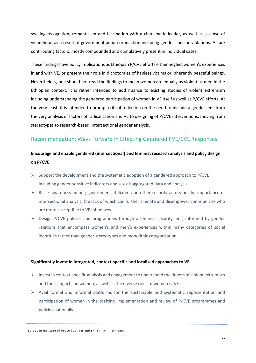seeking recognition, romanticism and fascination with a charismatic leader, as well as a sense of victimhood as a result of government action or inaction including gender-specific violations. All are contributing factors; mostly compounded and cumulatively present in individual cases.

These findings have policy implications as Ethiopian P/CVE efforts either neglect women's experiences in and with VE, or present their role in dichotomies of hapless victims or inherently peaceful beings. Nevertheless, one should not read the findings to mean women are equally as violent as men in the Ethiopian context. It is rather intended to add nuance to existing studies of violent extremism including understanding the gendered participation of women in VE itself as well as P/CVE efforts. At the very least, it is intended to prompt critical reflection on the need to include a gender lens from the very analysis of factors of radicalisation and VE to designing of P/CVE interventions: moving from stereotypes to research-based, intersectional gender analysis.

# <span id="page-29-0"></span>Recommendation: Ways Forward in Effecting Gendered PVE/CVE Responses

# **Encourage and enable gendered (intersectional) and feminist research analysis and policy design on P/CVE**

- $\triangleright$  Support the development and the systematic adoption of a gendered approach to P/CVE including gender-sensitive indicators and sex-disaggregated data and analysis.
- $\triangleright$  Raise awareness among government-affiliated and other security actors on the importance of intersectional analysis, the lack of which can further alienate and disempower communities who are more susceptible to VE influences.
- ➢ Design P/CVE policies and programmes through a feminist security lens, informed by gender relations that encompass women's and men's experiences within many categories of social identities rather than gender stereotypes and monolithic categorisation.

### **Significantly invest in integrated, context-specific and localised approaches to VE**

- $\triangleright$  Invest in context-specific analysis and engagement to understand the drivers of violent extremism and their impacts on women, as well as the diverse roles of women in VE.
- $\triangleright$  Avail formal and informal platforms for the sustainable and systematic representation and participation of women in the drafting, implementation and review of P/CVE programmes and policies nationally.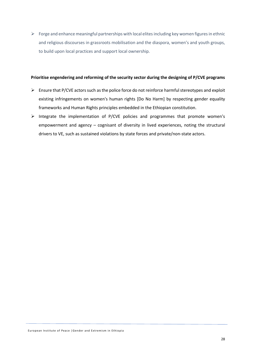$\triangleright$  Forge and enhance meaningful partnerships with local elites including key women figures in ethnic and religious discourses in grassroots mobilisation and the diaspora, women's and youth groups, to build upon local practices and support local ownership.

### **Prioritise engendering and reforming of the security sector during the designing of P/CVE programs**

- $\triangleright$  Ensure that P/CVE actors such as the police force do not reinforce harmful stereotypes and exploit existing infringements on women's human rights [Do No Harm] by respecting gender equality frameworks and Human Rights principles embedded in the Ethiopian constitution.
- ➢ Integrate the implementation of P/CVE policies and programmes that promote women's empowerment and agency – cognisant of diversity in lived experiences, noting the structural drivers to VE, such as sustained violations by state forces and private/non-state actors.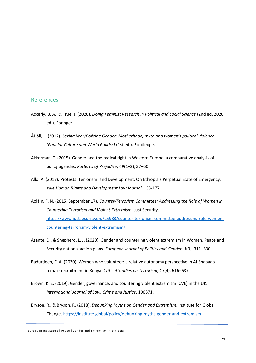### <span id="page-31-0"></span>References

- Ackerly, B. A., & True, J. (2020). *Doing Feminist Research in Political and Social Science* (2nd ed. 2020 ed.). Springer.
- ÅHäll, L. (2017). *Sexing War/Policing Gender: Motherhood, myth and women's political violence (Popular Culture and World Politics)* (1st ed.). Routledge.
- Akkerman, T. (2015). Gender and the radical right in Western Europe: a comparative analysis of policy agendas. *Patterns of Prejudice*, *49*(1–2), 37–60.
- Allo, A. (2017). Protests, Terrorism, and Development: On Ethiopia's Perpetual State of Emergency. *Yale Human Rights and Development Law Journal*, 133-177.
- Aoláin, F. N. (2015, September 17). *Counter-Terrorism Committee: Addressing the Role of Women in Countering Terrorism and Violent Extremism*. Just Security. [https://www.justsecurity.org/25983/counter-terrorism-committee-addressing-role-women](https://www.justsecurity.org/25983/counter-terrorism-committee-addressing-role-women-countering-terrorism-violent-extremism/)[countering-terrorism-violent-extremism/](https://www.justsecurity.org/25983/counter-terrorism-committee-addressing-role-women-countering-terrorism-violent-extremism/)
- Asante, D., & Shepherd, L. J. (2020). Gender and countering violent extremism in Women, Peace and Security national action plans. *European Journal of Politics and Gender*, *3*(3), 311–330.
- Badurdeen, F. A. (2020). Women who volunteer: a relative autonomy perspective in Al-Shabaab female recruitment in Kenya. *Critical Studies on Terrorism*, *13*(4), 616–637.
- Brown, K. E. (2019). Gender, governance, and countering violent extremism (CVE) in the UK. *International Journal of Law, Crime and Justice*, 100371.
- Bryson, R., & Bryson, R. (2018). *Debunking Myths on Gender and Extremism*. Institute for Global Change[. https://institute.global/policy/debunking-myths-gender-and-extremism](https://institute.global/policy/debunking-myths-gender-and-extremism)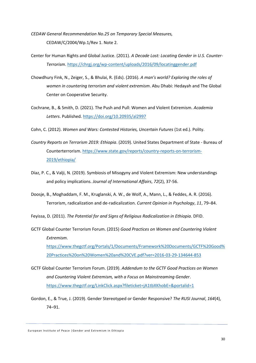- *CEDAW General Recommendation No.25 on Temporary Special Measures,*  CEDAW/C/2004/Wp.1/Rev 1. Note 2.
- Center for Human Rights and Global Justice. (2011). *A Decade Lost: Locating Gender in U.S. Counter-Terrorism*[. https://chrgj.org/wp-content/uploads/2016/09/locatinggender.pdf](https://chrgj.org/wp-content/uploads/2016/09/locatinggender.pdf)
- Chowdhury Fink, N., Zeiger, S., & Bhulai, R. (Eds). (2016). *A man's world? Exploring the roles of women in countering terrorism and violent extremism*. Abu Dhabi: Hedayah and The Global Center on Cooperative Security.
- Cochrane, B., & Smith, D. (2021). The Push and Pull: Women and Violent Extremism. *Academia Letters*. Published[. https://doi.org/10.20935/al2997](https://doi.org/10.20935/al2997)
- Cohn, C. (2012). *Women and Wars: Contested Histories, Uncertain Futures* (1st ed.). Polity.
- *Country Reports on Terrorism 2019: Ethiopia*. (2019). United States Department of State Bureau of Counterterrorism[. https://www.state.gov/reports/country-reports-on-terrorism-](https://www.state.gov/reports/country-reports-on-terrorism-2019/ethiopia/)[2019/ethiopia/](https://www.state.gov/reports/country-reports-on-terrorism-2019/ethiopia/)
- Díaz, P. C., & Valji, N. (2019). Symbiosis of Misogyny and Violent Extremism: New understandings and policy implications. *Journal of International Affairs*, *72*(2), 37-56.
- Doosje, B., Moghaddam, F. M., Kruglanski, A. W., de Wolf, A., Mann, L., & Feddes, A. R. (2016). Terrorism, radicalization and de-radicalization. *Current Opinion in Psychology*, *11*, 79–84.

Feyissa, D. (2011). *The Potential for and Signs of Religious Radicalization in Ethiopia*. DFID.

- GCTF Global Counter Terrorism Forum. (2015) *Good Practices on Women and Countering Violent Extremism*. [https://www.thegctf.org/Portals/1/Documents/Framework%20Documents/GCTF%20Good%](https://www.thegctf.org/Portals/1/Documents/Framework%20Documents/GCTF%20Good%20Practices%20on%20Women%20and%20CVE.pdf?ver=2016-03-29-134644-853) [20Practices%20on%20Women%20and%20CVE.pdf?ver=2016-03-29-134644-853](https://www.thegctf.org/Portals/1/Documents/Framework%20Documents/GCTF%20Good%20Practices%20on%20Women%20and%20CVE.pdf?ver=2016-03-29-134644-853)
- GCTF Global Counter Terrorism Forum. (2019). *Addendum to the GCTF Good Practices on Women and Countering Violent Extremism, with a Focus on Mainstreaming Gender*. <https://www.thegctf.org/LinkClick.aspx?fileticket=jA1tbXKhobE=&portalid=1>

Gordon, E., & True, J. (2019). Gender Stereotyped or Gender Responsive? *The RUSI Journal*, *164*(4), 74–91.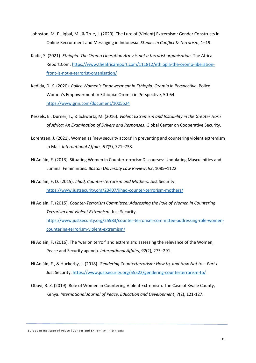- Johnston, M. F., Iqbal, M., & True, J. (2020). The Lure of (Violent) Extremism: Gender Constructs in Online Recruitment and Messaging in Indonesia. *Studies in Conflict & Terrorism*, 1–19.
- Kadir, S. (2021). *Ethiopia: The Oromo Liberation Army is not a terrorist organisation*. The Africa Report.Com. [https://www.theafricareport.com/111812/ethiopia-the-oromo-liberation](https://www.theafricareport.com/111812/ethiopia-the-oromo-liberation-front-is-not-a-terrorist-organisation/)[front-is-not-a-terrorist-organisation/](https://www.theafricareport.com/111812/ethiopia-the-oromo-liberation-front-is-not-a-terrorist-organisation/)
- Kedida, D. K. (2020). *Police Women's Empowerment in Ethiopia. Oromia in Perspective*. Police Women's Empowerment in Ethiopia: Oromia in Perspective, 50-64 <https://www.grin.com/document/1005524>
- Kessels, E., Durner, T., & Schwartz, M. (2016). *Violent Extremism and Instability in the Greater Horn of Africa: An Examination of Drivers and Responses*. Global Center on Cooperative Security.
- Lorentzen, J. (2021). Women as 'new security actors' in preventing and countering violent extremism in Mali. *International Affairs*, *97*(3), 721–738.
- Ní Aoláin, F. (2013). Situating Women in CounterterrorismDiscourses: Undulating Masculinities and Luminal Femininities. *Boston University Law Review*, *93*, 1085–1122.
- Ní Aoláin, F. D. (2015). *Jihad, Counter-Terrorism and Mothers*. Just Security. <https://www.justsecurity.org/20407/jihad-counter-terrorism-mothers/>
- Ní Aoláin, F. (2015). *Counter-Terrorism Committee: Addressing the Role of Women in Countering Terrorism and Violent Extremism*. Just Security. [https://www.justsecurity.org/25983/counter-terrorism-committee-addressing-role-women](https://www.justsecurity.org/25983/counter-terrorism-committee-addressing-role-women-countering-terrorism-violent-extremism/)[countering-terrorism-violent-extremism/](https://www.justsecurity.org/25983/counter-terrorism-committee-addressing-role-women-countering-terrorism-violent-extremism/)
- Ní Aoláin, F. (2016). The 'war on terror' and extremism: assessing the relevance of the Women, Peace and Security agenda. *International Affairs*, *92*(2), 275–291.
- Ní Aoláin, F., & Huckerby, J. (2018). *Gendering Counterterrorism: How to, and How Not to – Part I*. Just Security.<https://www.justsecurity.org/55522/gendering-counterterrorism-to/>
- Obuyi, R. Z. (2019). Role of Women in Countering Violent Extremism. The Case of Kwale County, Kenya. *International Journal of Peace, Education and Development*, *7*(2), 121-127.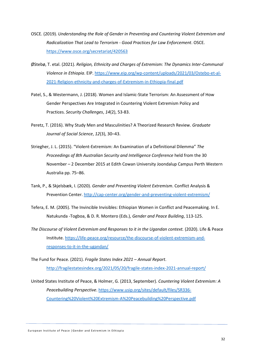- OSCE. (2019). *Understanding the Role of Gender in Preventing and Countering Violent Extremism and Radicalization That Lead to Terrorism - Good Practices for Law Enforcement*. OSCE. <https://www.osce.org/secretariat/420563>
- ØStebø, T. etal. (2021). *Religion, Ethnicity and Charges of Extremism: The Dynamics Inter-Communal Violence in Ethiopia*. EIP. [https://www.eip.org/wp-content/uploads/2021/03/Ostebo-et-al-](https://www.eip.org/wp-content/uploads/2021/03/Ostebo-et-al-2021-Religion-ethnicity-and-charges-of-Extremism-in-Ethiopia-final.pdf)[2021-Religion-ethnicity-and-charges-of-Extremism-in-Ethiopia-final.pdf](https://www.eip.org/wp-content/uploads/2021/03/Ostebo-et-al-2021-Religion-ethnicity-and-charges-of-Extremism-in-Ethiopia-final.pdf)
- Patel, S., & Westermann, J. (2018). Women and Islamic-State Terrorism: An Assessment of How Gender Perspectives Are Integrated in Countering Violent Extremism Policy and Practices. *Security Challenges*, *14*(2), 53-83.
- Peretz, T. (2016). Why Study Men and Masculinities? A Theorized Research Review. *Graduate Journal of Social Science*, *12*(3), 30–43.
- Striegher, J. L. (2015). "Violent-Extremism: An Examination of a Definitional Dilemma" *The Proceedings of 8th Australian Security and Intelligence Conference* held from the 30 November – 2 December 2015 at Edith Cowan University Joondalup Campus Perth Western Australia pp. 75–86.
- Tank, P., & Skjelsbæk, I. (2020). *Gender and Preventing Violent Extremism*. Conflict Analysis & Prevention Center.<http://cap-center.org/gender-and-preventing-violent-extremism/>
- Tefera, E. M. (2005). The Invincible Invisibles: Ethiopian Women in Conflict and Peacemaking. In E. Natukunda -Togboa, & D. R. Montero (Eds.), *Gender and Peace Building*, 113-125.
- *The Discourse of Violent Extremism and Responses to it in the Ugandan context.* (2020). Life & Peace Institute. [https://life-peace.org/resource/the-discourse-of-violent-extremism-and](https://life-peace.org/resource/the-discourse-of-violent-extremism-and-responses-to-it-in-the-ugandan/)[responses-to-it-in-the-ugandan/](https://life-peace.org/resource/the-discourse-of-violent-extremism-and-responses-to-it-in-the-ugandan/)
- The Fund for Peace. (2021). *Fragile States Index 2021 – Annual Report*. <http://fragilestatesindex.org/2021/05/20/fragile-states-index-2021-annual-report/>
- United States Institute of Peace, & Holmer, G. (2013, September). *Countering Violent Extremism: A Peacebuilding Perspective*. [https://www.usip.org/sites/default/files/SR336-](https://www.usip.org/sites/default/files/SR336-Countering%20Violent%20Extremism-A%20Peacebuilding%20Perspective.pdf) [Countering%20Violent%20Extremism-A%20Peacebuilding%20Perspective.pdf](https://www.usip.org/sites/default/files/SR336-Countering%20Violent%20Extremism-A%20Peacebuilding%20Perspective.pdf)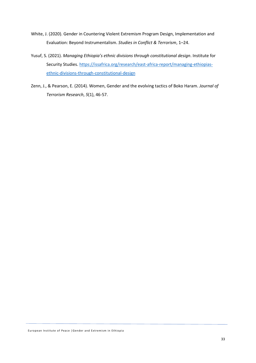- White, J. (2020). Gender in Countering Violent Extremism Program Design, Implementation and Evaluation: Beyond Instrumentalism. *Studies in Conflict & Terrorism*, 1–24.
- Yusuf, S. (2021). *Managing Ethiopia's ethnic divisions through constitutional design*. Institute for Security Studies. [https://issafrica.org/research/east-africa-report/managing-ethiopias](https://issafrica.org/research/east-africa-report/managing-ethiopias-ethnic-divisions-through-constitutional-design)[ethnic-divisions-through-constitutional-design](https://issafrica.org/research/east-africa-report/managing-ethiopias-ethnic-divisions-through-constitutional-design)
- Zenn, J., & Pearson, E. (2014). Women, Gender and the evolving tactics of Boko Haram. *Journal of Terrorism Research*, *5*(1), 46-57.